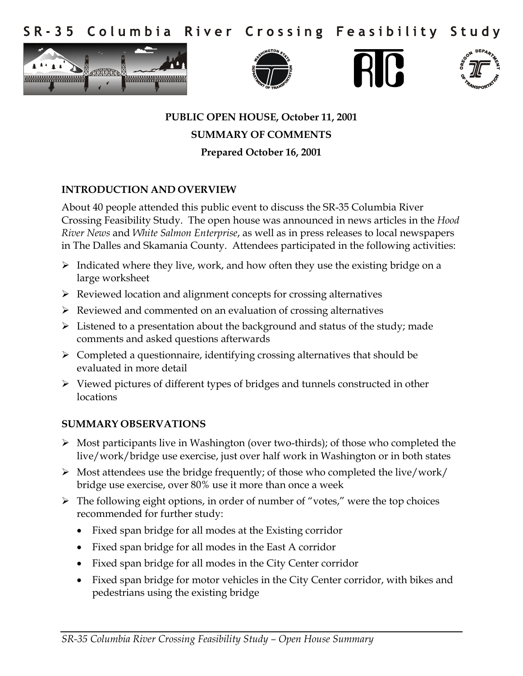Columbia River Crossing Feasibility  $S$  R - 3 5 Study









# **PUBLIC OPEN HOUSE, October 11, 2001 SUMMARY OF COMMENTS Prepared October 16, 2001**

## **INTRODUCTION AND OVERVIEW**

About 40 people attended this public event to discuss the SR-35 Columbia River Crossing Feasibility Study. The open house was announced in news articles in the *Hood River News* and *White Salmon Enterprise*, as well as in press releases to local newspapers in The Dalles and Skamania County. Attendees participated in the following activities:

- $\triangleright$  Indicated where they live, work, and how often they use the existing bridge on a large worksheet
- $\triangleright$  Reviewed location and alignment concepts for crossing alternatives
- $\triangleright$  Reviewed and commented on an evaluation of crossing alternatives
- $\triangleright$  Listened to a presentation about the background and status of the study; made comments and asked questions afterwards
- $\triangleright$  Completed a questionnaire, identifying crossing alternatives that should be evaluated in more detail
- $\triangleright$  Viewed pictures of different types of bridges and tunnels constructed in other locations

## **SUMMARY OBSERVATIONS**

- Most participants live in Washington (over two-thirds); of those who completed the live/work/bridge use exercise, just over half work in Washington or in both states
- $\triangleright$  Most attendees use the bridge frequently; of those who completed the live/work/ bridge use exercise, over 80% use it more than once a week
- $\triangleright$  The following eight options, in order of number of "votes," were the top choices recommended for further study:
	- Fixed span bridge for all modes at the Existing corridor
	- Fixed span bridge for all modes in the East A corridor
	- Fixed span bridge for all modes in the City Center corridor
	- Fixed span bridge for motor vehicles in the City Center corridor, with bikes and pedestrians using the existing bridge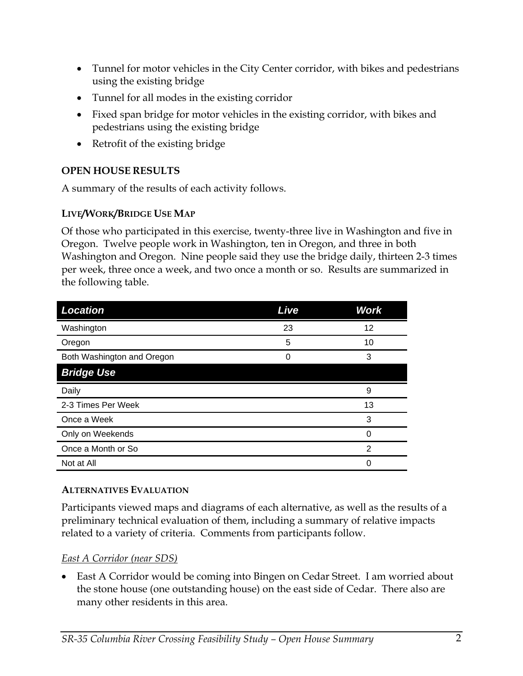- Tunnel for motor vehicles in the City Center corridor, with bikes and pedestrians using the existing bridge
- Tunnel for all modes in the existing corridor
- Fixed span bridge for motor vehicles in the existing corridor, with bikes and pedestrians using the existing bridge
- Retrofit of the existing bridge

# **OPEN HOUSE RESULTS**

A summary of the results of each activity follows.

# **LIVE/WORK/BRIDGE USE MAP**

Of those who participated in this exercise, twenty-three live in Washington and five in Oregon. Twelve people work in Washington, ten in Oregon, and three in both Washington and Oregon. Nine people said they use the bridge daily, thirteen 2-3 times per week, three once a week, and two once a month or so. Results are summarized in the following table.

| <b>Location</b>            | Live | <b>Work</b> |
|----------------------------|------|-------------|
| Washington                 | 23   | 12          |
| Oregon                     | 5    | 10          |
| Both Washington and Oregon |      | 3           |
| <b>Bridge Use</b>          |      |             |
| Daily                      |      | 9           |
| 2-3 Times Per Week         |      | 13          |
| Once a Week                |      | 3           |
| Only on Weekends           |      | 0           |
| Once a Month or So         |      | 2           |
| Not at All                 |      | 0           |

## **ALTERNATIVES EVALUATION**

Participants viewed maps and diagrams of each alternative, as well as the results of a preliminary technical evaluation of them, including a summary of relative impacts related to a variety of criteria. Comments from participants follow.

## *East A Corridor (near SDS)*

 East A Corridor would be coming into Bingen on Cedar Street. I am worried about the stone house (one outstanding house) on the east side of Cedar. There also are many other residents in this area.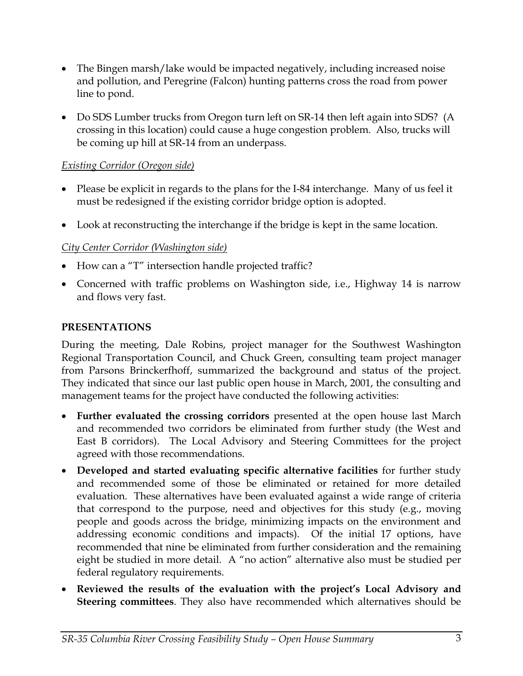- The Bingen marsh/lake would be impacted negatively, including increased noise and pollution, and Peregrine (Falcon) hunting patterns cross the road from power line to pond.
- Do SDS Lumber trucks from Oregon turn left on SR-14 then left again into SDS? (A crossing in this location) could cause a huge congestion problem. Also, trucks will be coming up hill at SR-14 from an underpass.

## *Existing Corridor (Oregon side)*

- Please be explicit in regards to the plans for the I-84 interchange. Many of us feel it must be redesigned if the existing corridor bridge option is adopted.
- Look at reconstructing the interchange if the bridge is kept in the same location.

#### *City Center Corridor (Washington side)*

- How can a "T" intersection handle projected traffic?
- Concerned with traffic problems on Washington side, i.e., Highway 14 is narrow and flows very fast.

#### **PRESENTATIONS**

During the meeting, Dale Robins, project manager for the Southwest Washington Regional Transportation Council, and Chuck Green, consulting team project manager from Parsons Brinckerfhoff, summarized the background and status of the project. They indicated that since our last public open house in March, 2001, the consulting and management teams for the project have conducted the following activities:

- **Further evaluated the crossing corridors** presented at the open house last March and recommended two corridors be eliminated from further study (the West and East B corridors). The Local Advisory and Steering Committees for the project agreed with those recommendations.
- **Developed and started evaluating specific alternative facilities** for further study and recommended some of those be eliminated or retained for more detailed evaluation. These alternatives have been evaluated against a wide range of criteria that correspond to the purpose, need and objectives for this study (e.g., moving people and goods across the bridge, minimizing impacts on the environment and addressing economic conditions and impacts). Of the initial 17 options, have recommended that nine be eliminated from further consideration and the remaining eight be studied in more detail. A "no action" alternative also must be studied per federal regulatory requirements.
- **Reviewed the results of the evaluation with the project's Local Advisory and Steering committees**. They also have recommended which alternatives should be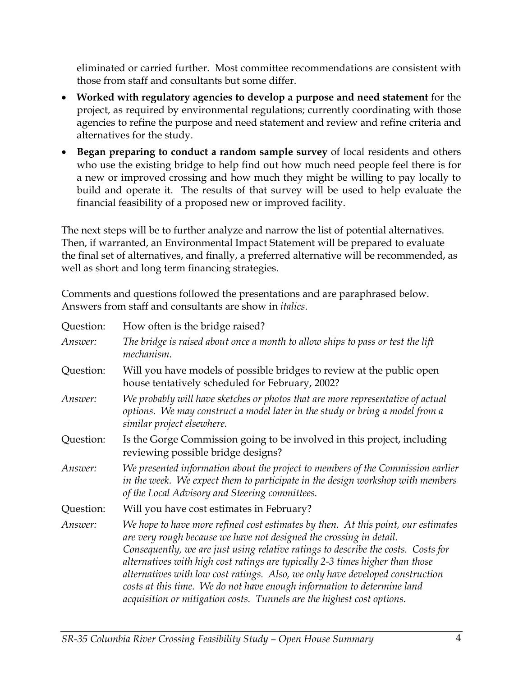eliminated or carried further. Most committee recommendations are consistent with those from staff and consultants but some differ.

- **Worked with regulatory agencies to develop a purpose and need statement** for the project, as required by environmental regulations; currently coordinating with those agencies to refine the purpose and need statement and review and refine criteria and alternatives for the study.
- **Began preparing to conduct a random sample survey** of local residents and others who use the existing bridge to help find out how much need people feel there is for a new or improved crossing and how much they might be willing to pay locally to build and operate it. The results of that survey will be used to help evaluate the financial feasibility of a proposed new or improved facility.

The next steps will be to further analyze and narrow the list of potential alternatives. Then, if warranted, an Environmental Impact Statement will be prepared to evaluate the final set of alternatives, and finally, a preferred alternative will be recommended, as well as short and long term financing strategies.

Comments and questions followed the presentations and are paraphrased below. Answers from staff and consultants are show in *italics*.

| Question: | How often is the bridge raised?                                                                                                                                                                                                                                                                                                                                                                                                                                                                                                                                      |
|-----------|----------------------------------------------------------------------------------------------------------------------------------------------------------------------------------------------------------------------------------------------------------------------------------------------------------------------------------------------------------------------------------------------------------------------------------------------------------------------------------------------------------------------------------------------------------------------|
| Answer:   | The bridge is raised about once a month to allow ships to pass or test the lift<br>mechanism.                                                                                                                                                                                                                                                                                                                                                                                                                                                                        |
| Question: | Will you have models of possible bridges to review at the public open<br>house tentatively scheduled for February, 2002?                                                                                                                                                                                                                                                                                                                                                                                                                                             |
| Answer:   | We probably will have sketches or photos that are more representative of actual<br>options. We may construct a model later in the study or bring a model from a<br>similar project elsewhere.                                                                                                                                                                                                                                                                                                                                                                        |
| Question: | Is the Gorge Commission going to be involved in this project, including<br>reviewing possible bridge designs?                                                                                                                                                                                                                                                                                                                                                                                                                                                        |
| Answer:   | We presented information about the project to members of the Commission earlier<br>in the week. We expect them to participate in the design workshop with members<br>of the Local Advisory and Steering committees.                                                                                                                                                                                                                                                                                                                                                  |
| Question: | Will you have cost estimates in February?                                                                                                                                                                                                                                                                                                                                                                                                                                                                                                                            |
| Answer:   | We hope to have more refined cost estimates by then. At this point, our estimates<br>are very rough because we have not designed the crossing in detail.<br>Consequently, we are just using relative ratings to describe the costs. Costs for<br>alternatives with high cost ratings are typically 2-3 times higher than those<br>alternatives with low cost ratings. Also, we only have developed construction<br>costs at this time. We do not have enough information to determine land<br>acquisition or mitigation costs. Tunnels are the highest cost options. |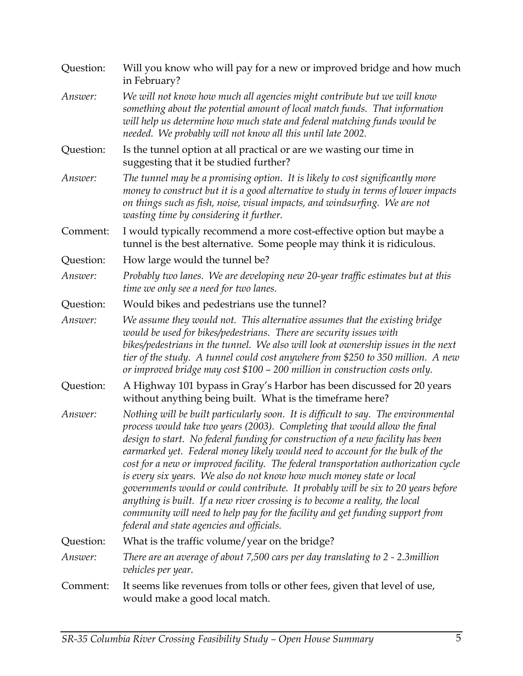| Question: | Will you know who will pay for a new or improved bridge and how much<br>in February?                                                                                                                                                                                                                                                                                                                                                                                                                                                                                                                                                                                                                                                                                                                    |
|-----------|---------------------------------------------------------------------------------------------------------------------------------------------------------------------------------------------------------------------------------------------------------------------------------------------------------------------------------------------------------------------------------------------------------------------------------------------------------------------------------------------------------------------------------------------------------------------------------------------------------------------------------------------------------------------------------------------------------------------------------------------------------------------------------------------------------|
| Answer:   | We will not know how much all agencies might contribute but we will know<br>something about the potential amount of local match funds. That information<br>will help us determine how much state and federal matching funds would be<br>needed. We probably will not know all this until late 2002.                                                                                                                                                                                                                                                                                                                                                                                                                                                                                                     |
| Question: | Is the tunnel option at all practical or are we wasting our time in<br>suggesting that it be studied further?                                                                                                                                                                                                                                                                                                                                                                                                                                                                                                                                                                                                                                                                                           |
| Answer:   | The tunnel may be a promising option. It is likely to cost significantly more<br>money to construct but it is a good alternative to study in terms of lower impacts<br>on things such as fish, noise, visual impacts, and windsurfing. We are not<br>wasting time by considering it further.                                                                                                                                                                                                                                                                                                                                                                                                                                                                                                            |
| Comment:  | I would typically recommend a more cost-effective option but maybe a<br>tunnel is the best alternative. Some people may think it is ridiculous.                                                                                                                                                                                                                                                                                                                                                                                                                                                                                                                                                                                                                                                         |
| Question: | How large would the tunnel be?                                                                                                                                                                                                                                                                                                                                                                                                                                                                                                                                                                                                                                                                                                                                                                          |
| Answer:   | Probably two lanes. We are developing new 20-year traffic estimates but at this<br>time we only see a need for two lanes.                                                                                                                                                                                                                                                                                                                                                                                                                                                                                                                                                                                                                                                                               |
| Question: | Would bikes and pedestrians use the tunnel?                                                                                                                                                                                                                                                                                                                                                                                                                                                                                                                                                                                                                                                                                                                                                             |
| Answer:   | We assume they would not. This alternative assumes that the existing bridge<br>would be used for bikes/pedestrians. There are security issues with<br>bikes/pedestrians in the tunnel. We also will look at ownership issues in the next<br>tier of the study. A tunnel could cost anywhere from \$250 to 350 million. A new<br>or improved bridge may cost \$100 - 200 million in construction costs only.                                                                                                                                                                                                                                                                                                                                                                                             |
| Question: | A Highway 101 bypass in Gray's Harbor has been discussed for 20 years<br>without anything being built. What is the timeframe here?                                                                                                                                                                                                                                                                                                                                                                                                                                                                                                                                                                                                                                                                      |
| Answer:   | Nothing will be built particularly soon. It is difficult to say. The environmental<br>process would take two years (2003). Completing that would allow the final<br>design to start. No federal funding for construction of a new facility has been<br>earmarked yet. Federal money likely would need to account for the bulk of the<br>cost for a new or improved facility. The federal transportation authorization cycle<br>is every six years. We also do not know how much money state or local<br>governments would or could contribute. It probably will be six to 20 years before<br>anything is built. If a new river crossing is to become a reality, the local<br>community will need to help pay for the facility and get funding support from<br>federal and state agencies and officials. |
| Question: | What is the traffic volume/year on the bridge?                                                                                                                                                                                                                                                                                                                                                                                                                                                                                                                                                                                                                                                                                                                                                          |
| Answer:   | There are an average of about 7,500 cars per day translating to 2 - 2.3 million<br>vehicles per year.                                                                                                                                                                                                                                                                                                                                                                                                                                                                                                                                                                                                                                                                                                   |
| Comment:  | It seems like revenues from tolls or other fees, given that level of use,<br>would make a good local match.                                                                                                                                                                                                                                                                                                                                                                                                                                                                                                                                                                                                                                                                                             |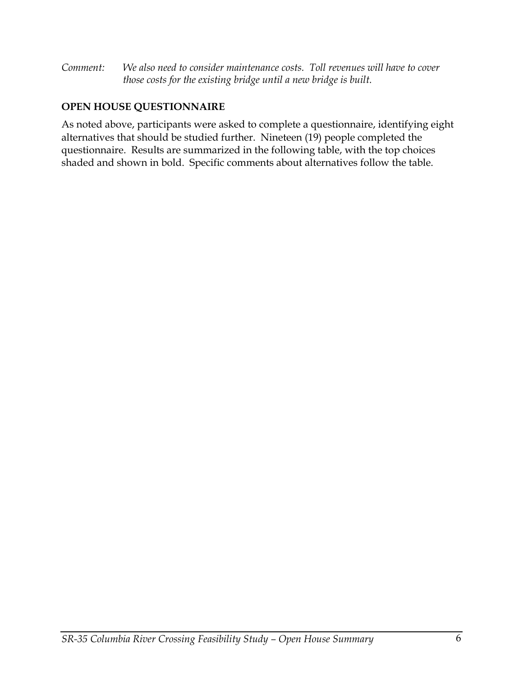*Comment: We also need to consider maintenance costs. Toll revenues will have to cover those costs for the existing bridge until a new bridge is built.* 

# **OPEN HOUSE QUESTIONNAIRE**

As noted above, participants were asked to complete a questionnaire, identifying eight alternatives that should be studied further. Nineteen (19) people completed the questionnaire. Results are summarized in the following table, with the top choices shaded and shown in bold. Specific comments about alternatives follow the table.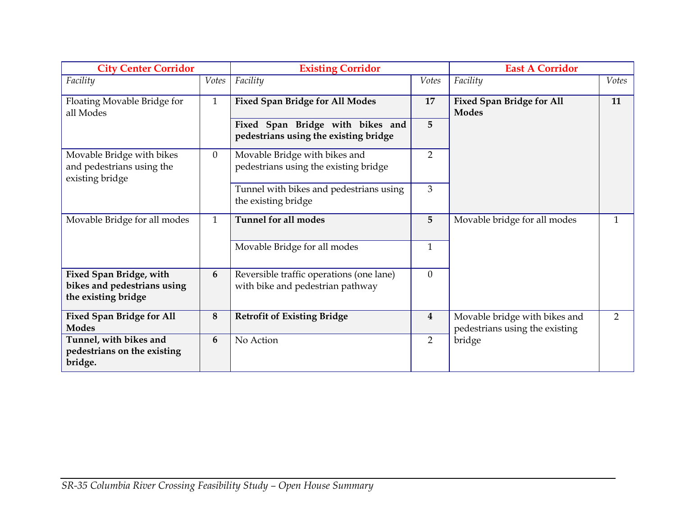| <b>City Center Corridor</b>                                                          |                | <b>Existing Corridor</b>                                                     |                         | <b>East A Corridor</b>                                          |              |
|--------------------------------------------------------------------------------------|----------------|------------------------------------------------------------------------------|-------------------------|-----------------------------------------------------------------|--------------|
| Facility                                                                             | Votes          | Facility                                                                     | Votes                   | Facility                                                        | Votes        |
| Floating Movable Bridge for<br>all Modes                                             | $\mathbf{1}$   | <b>Fixed Span Bridge for All Modes</b>                                       | 17                      | <b>Fixed Span Bridge for All</b><br><b>Modes</b>                | 11           |
|                                                                                      |                | Fixed Span Bridge with bikes and<br>pedestrians using the existing bridge    | 5                       |                                                                 |              |
| Movable Bridge with bikes<br>and pedestrians using the<br>existing bridge            | $\overline{0}$ | Movable Bridge with bikes and<br>pedestrians using the existing bridge       | $\overline{2}$          |                                                                 |              |
|                                                                                      |                | Tunnel with bikes and pedestrians using<br>the existing bridge               | $\overline{3}$          |                                                                 |              |
| Movable Bridge for all modes                                                         | $\mathbf{1}$   | <b>Tunnel for all modes</b>                                                  | 5                       | Movable bridge for all modes                                    | $\mathbf{1}$ |
|                                                                                      |                | Movable Bridge for all modes                                                 | $\mathbf{1}$            |                                                                 |              |
| <b>Fixed Span Bridge, with</b><br>bikes and pedestrians using<br>the existing bridge | 6              | Reversible traffic operations (one lane)<br>with bike and pedestrian pathway | $\overline{0}$          |                                                                 |              |
| <b>Fixed Span Bridge for All</b><br><b>Modes</b>                                     | 8              | <b>Retrofit of Existing Bridge</b>                                           | $\overline{\mathbf{4}}$ | Movable bridge with bikes and<br>pedestrians using the existing | 2            |
| Tunnel, with bikes and<br>pedestrians on the existing<br>bridge.                     | 6              | No Action                                                                    | 2                       | bridge                                                          |              |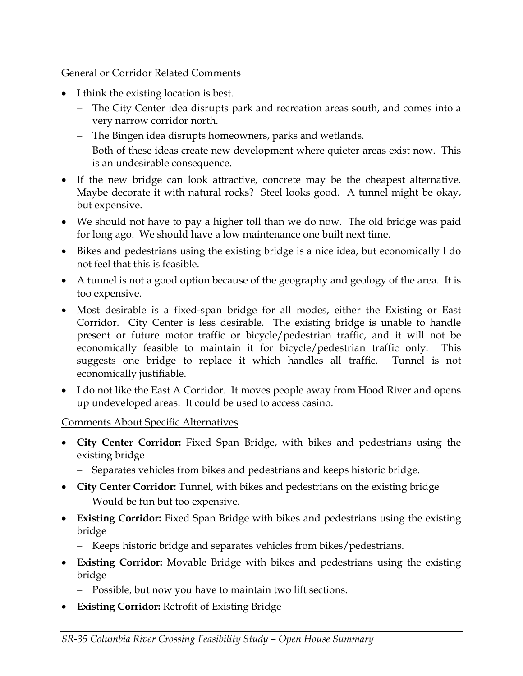## General or Corridor Related Comments

- I think the existing location is best.
	- The City Center idea disrupts park and recreation areas south, and comes into a very narrow corridor north.
	- The Bingen idea disrupts homeowners, parks and wetlands.
	- Both of these ideas create new development where quieter areas exist now. This is an undesirable consequence.
- If the new bridge can look attractive, concrete may be the cheapest alternative. Maybe decorate it with natural rocks? Steel looks good. A tunnel might be okay, but expensive.
- We should not have to pay a higher toll than we do now. The old bridge was paid for long ago. We should have a low maintenance one built next time.
- Bikes and pedestrians using the existing bridge is a nice idea, but economically I do not feel that this is feasible.
- A tunnel is not a good option because of the geography and geology of the area. It is too expensive.
- Most desirable is a fixed-span bridge for all modes, either the Existing or East Corridor. City Center is less desirable. The existing bridge is unable to handle present or future motor traffic or bicycle/pedestrian traffic, and it will not be economically feasible to maintain it for bicycle/pedestrian traffic only. This suggests one bridge to replace it which handles all traffic. Tunnel is not economically justifiable.
- I do not like the East A Corridor. It moves people away from Hood River and opens up undeveloped areas. It could be used to access casino.

## Comments About Specific Alternatives

- **City Center Corridor:** Fixed Span Bridge, with bikes and pedestrians using the existing bridge
	- Separates vehicles from bikes and pedestrians and keeps historic bridge.
- **City Center Corridor:** Tunnel, with bikes and pedestrians on the existing bridge
	- Would be fun but too expensive.
- **Existing Corridor:** Fixed Span Bridge with bikes and pedestrians using the existing bridge
	- Keeps historic bridge and separates vehicles from bikes/pedestrians.
- **Existing Corridor:** Movable Bridge with bikes and pedestrians using the existing bridge
	- Possible, but now you have to maintain two lift sections.
- **Existing Corridor:** Retrofit of Existing Bridge